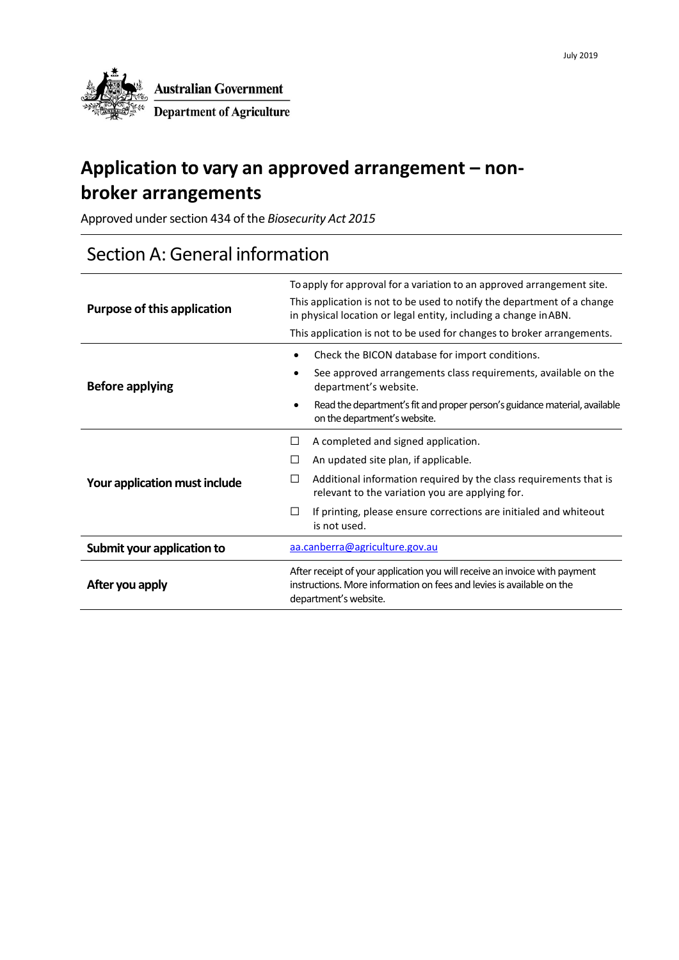

## **Application to vary an approved arrangement – nonbroker arrangements**

Approved under section 434 of the *Biosecurity Act 2015*

### Section A: General information

| <b>Purpose of this application</b> | To apply for approval for a variation to an approved arrangement site.<br>This application is not to be used to notify the department of a change<br>in physical location or legal entity, including a change in ABN.<br>This application is not to be used for changes to broker arrangements. |  |  |
|------------------------------------|-------------------------------------------------------------------------------------------------------------------------------------------------------------------------------------------------------------------------------------------------------------------------------------------------|--|--|
| <b>Before applying</b>             | Check the BICON database for import conditions.<br>See approved arrangements class requirements, available on the<br>department's website.                                                                                                                                                      |  |  |
|                                    | Read the department's fit and proper person's guidance material, available<br>$\bullet$<br>on the department's website.                                                                                                                                                                         |  |  |
|                                    | A completed and signed application.<br>П                                                                                                                                                                                                                                                        |  |  |
|                                    | An updated site plan, if applicable.<br>⊔                                                                                                                                                                                                                                                       |  |  |
| Your application must include      | Additional information required by the class requirements that is<br>□<br>relevant to the variation you are applying for.                                                                                                                                                                       |  |  |
|                                    | If printing, please ensure corrections are initialed and whiteout<br>⊔<br>is not used.                                                                                                                                                                                                          |  |  |
| Submit your application to         | aa.canberra@agriculture.gov.au                                                                                                                                                                                                                                                                  |  |  |
| After you apply                    | After receipt of your application you will receive an invoice with payment<br>instructions. More information on fees and levies is available on the<br>department's website.                                                                                                                    |  |  |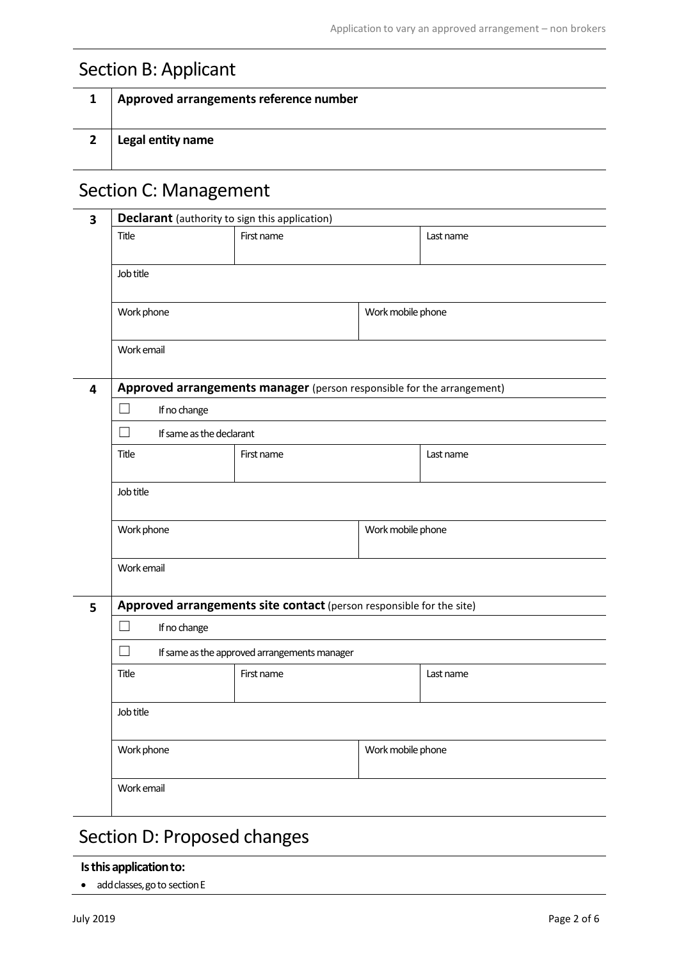## Section B: Applicant

| Approved arrangements reference number |
|----------------------------------------|
| Legal entity name                      |

### Section C: Management

| 3 | Declarant (authority to sign this application)                         |                   |                   |           |  |
|---|------------------------------------------------------------------------|-------------------|-------------------|-----------|--|
|   | Title                                                                  | First name        |                   | Last name |  |
|   |                                                                        |                   |                   |           |  |
|   | Job title                                                              |                   |                   |           |  |
|   | Work phone                                                             |                   | Work mobile phone |           |  |
|   |                                                                        |                   |                   |           |  |
|   | Work email                                                             |                   |                   |           |  |
| 4 | Approved arrangements manager (person responsible for the arrangement) |                   |                   |           |  |
|   | $\mathcal{A}$<br>If no change                                          |                   |                   |           |  |
|   | $\Box$<br>If same as the declarant                                     |                   |                   |           |  |
|   | Title                                                                  | First name        |                   | Last name |  |
|   | Job title                                                              |                   |                   |           |  |
|   |                                                                        |                   |                   |           |  |
|   | Work phone                                                             | Work mobile phone |                   |           |  |
|   |                                                                        |                   |                   |           |  |
|   | Work email                                                             |                   |                   |           |  |
| 5 | Approved arrangements site contact (person responsible for the site)   |                   |                   |           |  |
|   | - 1<br>If no change                                                    |                   |                   |           |  |
|   | $\Box$<br>If same as the approved arrangements manager                 |                   |                   |           |  |
|   | Title                                                                  | First name        |                   | Last name |  |
|   |                                                                        |                   |                   |           |  |
|   | Job title                                                              |                   |                   |           |  |
|   | Work phone<br>Work mobile phone                                        |                   |                   |           |  |
|   | Work email                                                             |                   |                   |           |  |

# Section D: Proposed changes

#### **Is this application to:**

• add classes, go to section E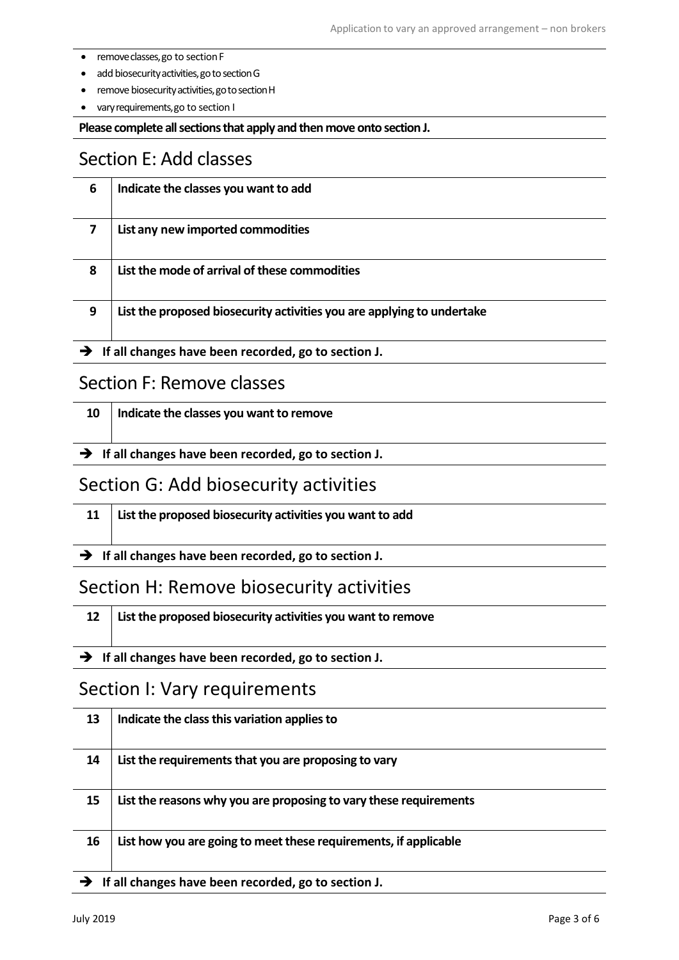- remove classes, go to section F
- add biosecurity activities, go to section G
- remove biosecurity activities, go to section H
- vary requirements, go to section I

**Please complete all sections that apply and then move onto section J.**

#### Section E: Add classes

| 6 | Indicate the classes you want to add                                   |
|---|------------------------------------------------------------------------|
|   | List any new imported commodities                                      |
| 8 | List the mode of arrival of these commodities                          |
| 9 | List the proposed biosecurity activities you are applying to undertake |

**If all changes have been recorded, go to section J.**

#### Section F: Remove classes

| 10   Indicate the classes you want to remove |  |  |
|----------------------------------------------|--|--|
|                                              |  |  |

**If all changes have been recorded, go to section J.**

#### Section G: Add biosecurity activities

| 11   List the proposed biosecurity activities you want to add |
|---------------------------------------------------------------|
|                                                               |

**If all changes have been recorded, go to section J.**

#### Section H: Remove biosecurity activities

| 12   List the proposed biosecurity activities you want to remove  |
|-------------------------------------------------------------------|
| $\rightarrow$ If all changes have been recorded, go to section J. |

#### Section I: Vary requirements

| 13                                                                | Indicate the class this variation applies to                      |  |
|-------------------------------------------------------------------|-------------------------------------------------------------------|--|
| 14                                                                | List the requirements that you are proposing to vary              |  |
| 15                                                                | List the reasons why you are proposing to vary these requirements |  |
| 16                                                                | List how you are going to meet these requirements, if applicable  |  |
| $\rightarrow$ If all changes have been recorded, go to section J. |                                                                   |  |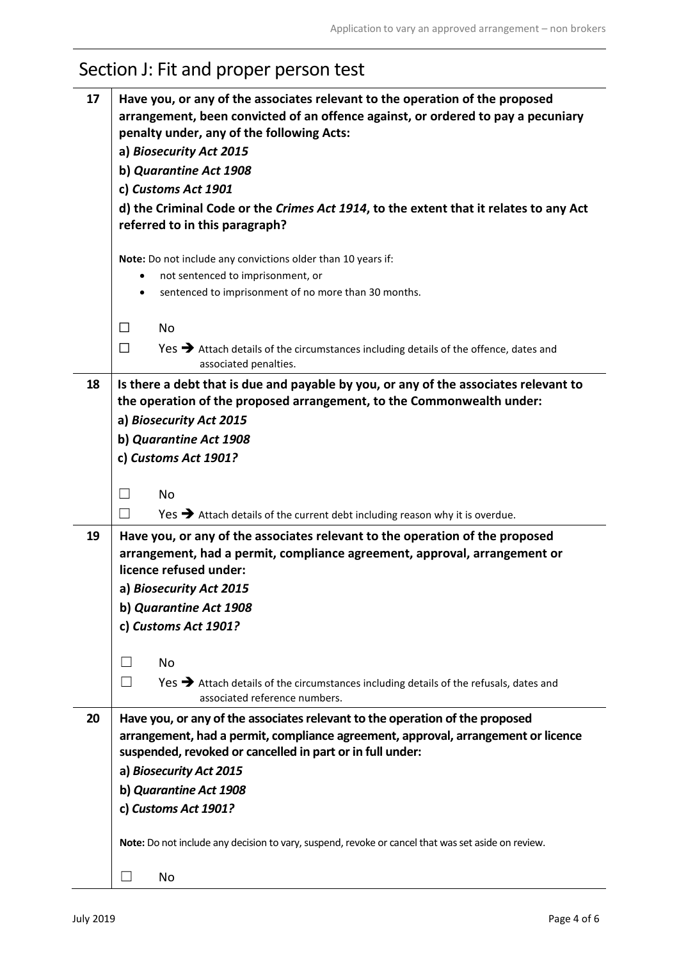| 17 | Have you, or any of the associates relevant to the operation of the proposed<br>arrangement, been convicted of an offence against, or ordered to pay a pecuniary<br>penalty under, any of the following Acts:<br>a) Biosecurity Act 2015 |  |  |  |
|----|------------------------------------------------------------------------------------------------------------------------------------------------------------------------------------------------------------------------------------------|--|--|--|
|    | b) Quarantine Act 1908                                                                                                                                                                                                                   |  |  |  |
|    | c) Customs Act 1901                                                                                                                                                                                                                      |  |  |  |
|    | d) the Criminal Code or the Crimes Act 1914, to the extent that it relates to any Act<br>referred to in this paragraph?                                                                                                                  |  |  |  |
|    | Note: Do not include any convictions older than 10 years if:                                                                                                                                                                             |  |  |  |
|    | not sentenced to imprisonment, or                                                                                                                                                                                                        |  |  |  |
|    | sentenced to imprisonment of no more than 30 months.                                                                                                                                                                                     |  |  |  |
|    | <b>No</b><br>□                                                                                                                                                                                                                           |  |  |  |
|    | $\Box$<br>Yes > Attach details of the circumstances including details of the offence, dates and<br>associated penalties.                                                                                                                 |  |  |  |
| 18 | Is there a debt that is due and payable by you, or any of the associates relevant to<br>the operation of the proposed arrangement, to the Commonwealth under:                                                                            |  |  |  |
|    | a) Biosecurity Act 2015                                                                                                                                                                                                                  |  |  |  |
|    | b) Quarantine Act 1908                                                                                                                                                                                                                   |  |  |  |
|    | c) Customs Act 1901?                                                                                                                                                                                                                     |  |  |  |
|    | <b>No</b>                                                                                                                                                                                                                                |  |  |  |
|    | Yes $\rightarrow$ Attach details of the current debt including reason why it is overdue.<br>$\blacksquare$                                                                                                                               |  |  |  |
| 19 | Have you, or any of the associates relevant to the operation of the proposed<br>arrangement, had a permit, compliance agreement, approval, arrangement or<br>licence refused under:                                                      |  |  |  |
|    | a) Biosecurity Act 2015                                                                                                                                                                                                                  |  |  |  |
|    | b) Quarantine Act 1908                                                                                                                                                                                                                   |  |  |  |
|    | c) Customs Act 1901?                                                                                                                                                                                                                     |  |  |  |
|    |                                                                                                                                                                                                                                          |  |  |  |
|    | No                                                                                                                                                                                                                                       |  |  |  |
|    | $\Box$<br>Yes > Attach details of the circumstances including details of the refusals, dates and<br>associated reference numbers.                                                                                                        |  |  |  |
| 20 | Have you, or any of the associates relevant to the operation of the proposed<br>arrangement, had a permit, compliance agreement, approval, arrangement or licence<br>suspended, revoked or cancelled in part or in full under:           |  |  |  |
|    | a) Biosecurity Act 2015                                                                                                                                                                                                                  |  |  |  |
|    | b) Quarantine Act 1908                                                                                                                                                                                                                   |  |  |  |
|    | c) Customs Act 1901?                                                                                                                                                                                                                     |  |  |  |
|    | Note: Do not include any decision to vary, suspend, revoke or cancel that was set aside on review.                                                                                                                                       |  |  |  |
|    | No<br>$\Box$                                                                                                                                                                                                                             |  |  |  |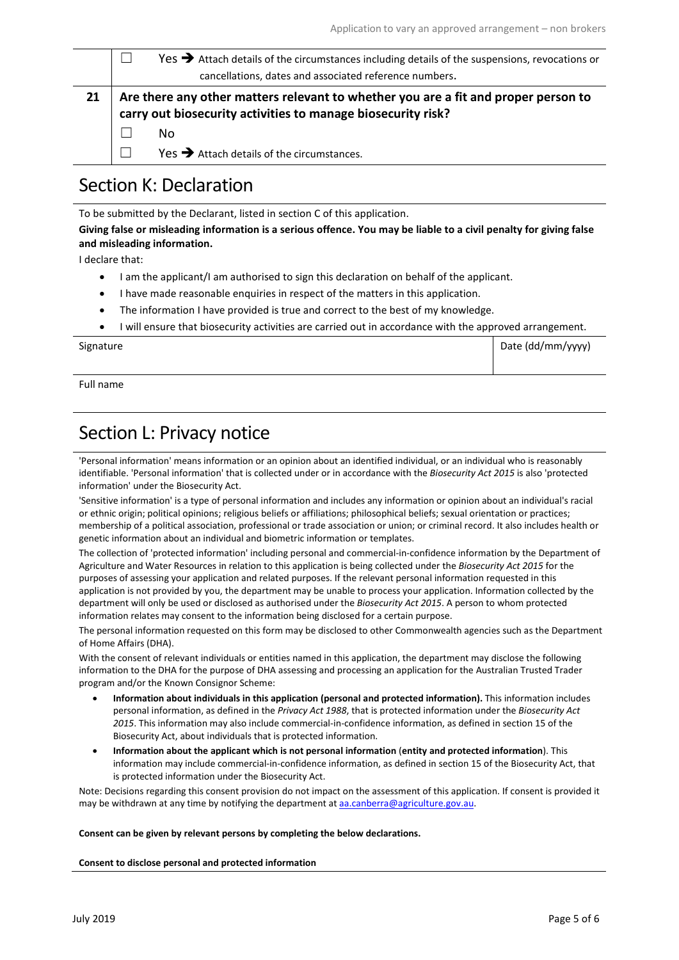|    |                                                                                                                                                    | $Yes$ $\rightarrow$ Attach details of the circumstances including details of the suspensions, revocations or |  |
|----|----------------------------------------------------------------------------------------------------------------------------------------------------|--------------------------------------------------------------------------------------------------------------|--|
|    |                                                                                                                                                    | cancellations, dates and associated reference numbers.                                                       |  |
| 21 | Are there any other matters relevant to whether you are a fit and proper person to<br>carry out biosecurity activities to manage biosecurity risk? |                                                                                                              |  |
|    |                                                                                                                                                    | No                                                                                                           |  |
|    |                                                                                                                                                    | $Yes$ Attach details of the circumstances.                                                                   |  |
|    |                                                                                                                                                    |                                                                                                              |  |

#### Section K: Declaration

To be submitted by the Declarant, listed in section C of this application.

#### **Giving false or misleading information is a serious offence. You may be liable to a civil penalty for giving false and misleading information.**

I declare that:

- I am the applicant/I am authorised to sign this declaration on behalf of the applicant.
- I have made reasonable enquiries in respect of the matters in this application.
- The information I have provided is true and correct to the best of my knowledge.
- I will ensure that biosecurity activities are carried out in accordance with the approved arrangement.

| Signature | Date (dd/mm/yyyy) |
|-----------|-------------------|
|           |                   |

Full name

### Section L: Privacy notice

'Personal information' means information or an opinion about an identified individual, or an individual who is reasonably identifiable. 'Personal information' that is collected under or in accordance with the *Biosecurity Act 2015* is also 'protected information' under the Biosecurity Act.

'Sensitive information' is a type of personal information and includes any information or opinion about an individual's racial or ethnic origin; political opinions; religious beliefs or affiliations; philosophical beliefs; sexual orientation or practices; membership of a political association, professional or trade association or union; or criminal record. It also includes health or genetic information about an individual and biometric information or templates.

The collection of 'protected information' including personal and commercial-in-confidence information by the Department of Agriculture and Water Resources in relation to this application is being collected under the *Biosecurity Act 2015* for the purposes of assessing your application and related purposes. If the relevant personal information requested in this application is not provided by you, the department may be unable to process your application. Information collected by the department will only be used or disclosed as authorised under the *Biosecurity Act 2015*. A person to whom protected information relates may consent to the information being disclosed for a certain purpose.

The personal information requested on this form may be disclosed to other Commonwealth agencies such as the Department of Home Affairs (DHA).

With the consent of relevant individuals or entities named in this application, the department may disclose the following information to the DHA for the purpose of DHA assessing and processing an application for the Australian Trusted Trader program and/or the Known Consignor Scheme:

- **Information about individuals in this application (personal and protected information).** This information includes personal information, as defined in the *Privacy Act 1988*, that is protected information under the *Biosecurity Act 2015*. This information may also include commercial-in-confidence information, as defined in section 15 of the Biosecurity Act, about individuals that is protected information.
- **Information about the applicant which is not personal information** (**entity and protected information**). This information may include commercial-in-confidence information, as defined in section 15 of the Biosecurity Act, that is protected information under the Biosecurity Act.

Note: Decisions regarding this consent provision do not impact on the assessment of this application. If consent is provided it may be withdrawn at any time by notifying the department at [aa.canberra@agriculture.gov.au.](mailto:aa.canberra@agriculture.gov.au)

#### **Consent can be given by relevant persons by completing the below declarations.**

#### **Consent to disclose personal and protected information**